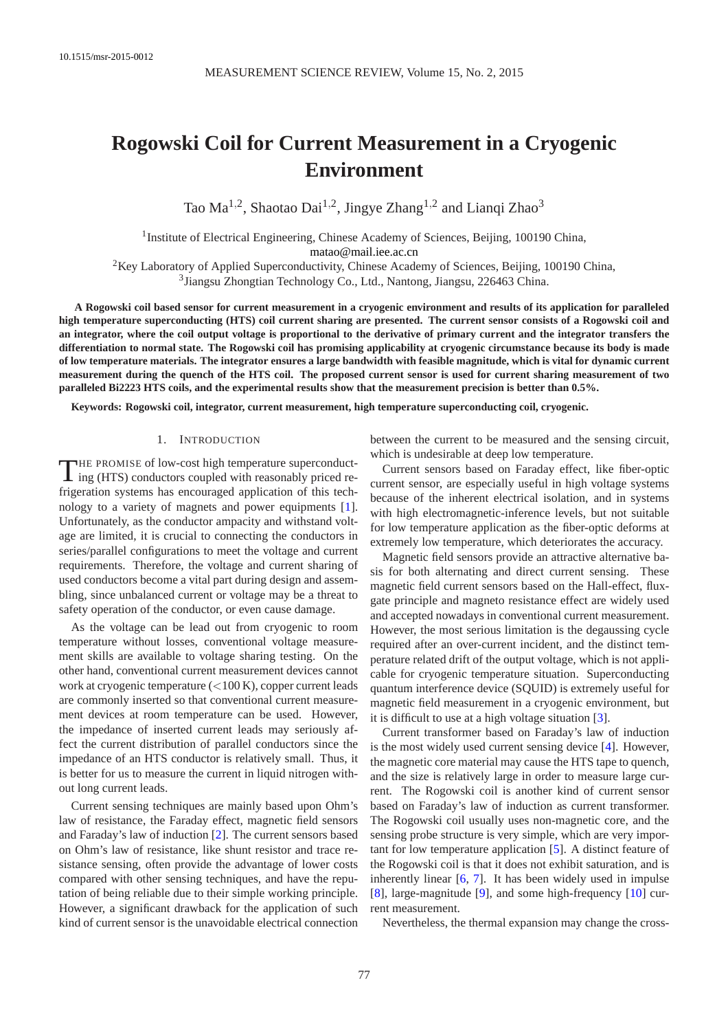# **Rogowski Coil for Current Measurement in a Cryogenic Environment**

Tao Ma<sup>1,2</sup>, Shaotao Dai<sup>1,2</sup>, Jingye Zhang<sup>1,2</sup> and Lianqi Zhao<sup>3</sup>

<sup>1</sup> Institute of Electrical Engineering, Chinese Academy of Sciences, Beijing, 100190 China, [matao@mail.iee.ac.cn](mailto:matao@mail.iee.ac.cn)

<sup>2</sup>Key Laboratory of Applied Superconductivity, Chinese Academy of Sciences, Beijing, 100190 China, 3 Jiangsu Zhongtian Technology Co., Ltd., Nantong, Jiangsu, 226463 China.

**A Rogowski coil based sensor for current measurement in a cryogenic environment and results of its application for paralleled high temperature superconducting (HTS) coil current sharing are presented. The current sensor consists of a Rogowski coil and an integrator, where the coil output voltage is proportional to the derivative of primary current and the integrator transfers the differentiation to normal state. The Rogowski coil has promising applicability at cryogenic circumstance because its body is made of low temperature materials. The integrator ensures a large bandwidth with feasible magnitude, which is vital for dynamic current measurement during the quench of the HTS coil. The proposed current sensor is used for current sharing measurement of two paralleled Bi2223 HTS coils, and the experimental results show that the measurement precision is better than 0.5%.**

**Keywords: Rogowski coil, integrator, current measurement, high temperature superconducting coil, cryogenic.**

## 1. INTRODUCTION

THE PROMISE of low-cost high temperature superconducting (HTS) conductors coupled with reasonably priced re-THE PROMISE of low-cost high temperature superconductfrigeration systems has encouraged application of this technology to a variety of magnets and power equipments [1]. Unfortunately, as the conductor ampacity and withstand voltage are limited, it is crucial to connecting the conductors in series/parallel configurations to meet the voltage and current requirements. Therefore, the voltage and current sharing of used conductors become a vital part during design and assembling, since unbalanced current or voltage may be a threat to safety operation of the conductor, or even cause damage.

As the voltage can be lead out from cryogenic to room temperature without losses, conventional voltage measurement skills are available to voltage sharing testing. On the other hand, conventional current measurement devices cannot work at cryogenic temperature (<100 K), copper current leads are commonly inserted so that conventional current measurement devices at room temperature can be used. However, the impedance of inserted current leads may seriously affect the current distribution of parallel conductors since the impedance of an HTS conductor is relatively small. Thus, it is better for us to measure the current in liquid nitrogen without long current leads.

Current sensing techniques are mainly based upon Ohm's law of resistance, the Faraday effect, magnetic field sensors and Faraday's law of induction [2]. The current sensors based on Ohm's law of resistance, like shunt resistor and trace resistance sensing, often provide the advantage of lower costs compared with other sensing techniques, and have the reputation of being reliable due to their simple working principle. However, a significant drawback for the application of such kind of current sensor is the unavoidable electrical connection between the current to be measured and the sensing circuit, which is undesirable at deep low temperature.

Current sensors based on Faraday effect, like fiber-optic current sensor, are especially useful in high voltage systems because of the inherent electrical isolation, and in systems with high electromagnetic-inference levels, but not suitable for low temperature application as the fiber-optic deforms at extremely low temperature, which deteriorates the accuracy.

Magnetic field sensors provide an attractive alternative basis for both alternating and direct current sensing. These magnetic field current sensors based on the Hall-effect, fluxgate principle and magneto resistance effect are widely used and accepted nowadays in conventional current measurement. However, the most serious limitation is the degaussing cycle required after an over-current incident, and the distinct temperature related drift of the output voltage, which is not applicable for cryogenic temperature situation. Superconducting quantum interference device (SQUID) is extremely useful for magnetic field measurement in a cryogenic environment, but it is difficult to use at a high voltage situation [3].

Current transformer based on Faraday's law of induction is the most widely used current sensing device [4]. However, the magnetic core material may cause the HTS tape to quench, and the size is relatively large in order to measure large current. The Rogowski coil is another kind of current sensor based on Faraday's law of induction as current transformer. The Rogowski coil usually uses non-magnetic core, and the sensing probe structure is very simple, which are very important for low temperature application [5]. A distinct feature of the Rogowski coil is that it does not exhibit saturation, and is inherently linear [6, 7]. It has been widely used in impulse [8], large-magnitude [9], and some high-frequency [10] current measurement.

Nevertheless, the thermal expansion may change the cross-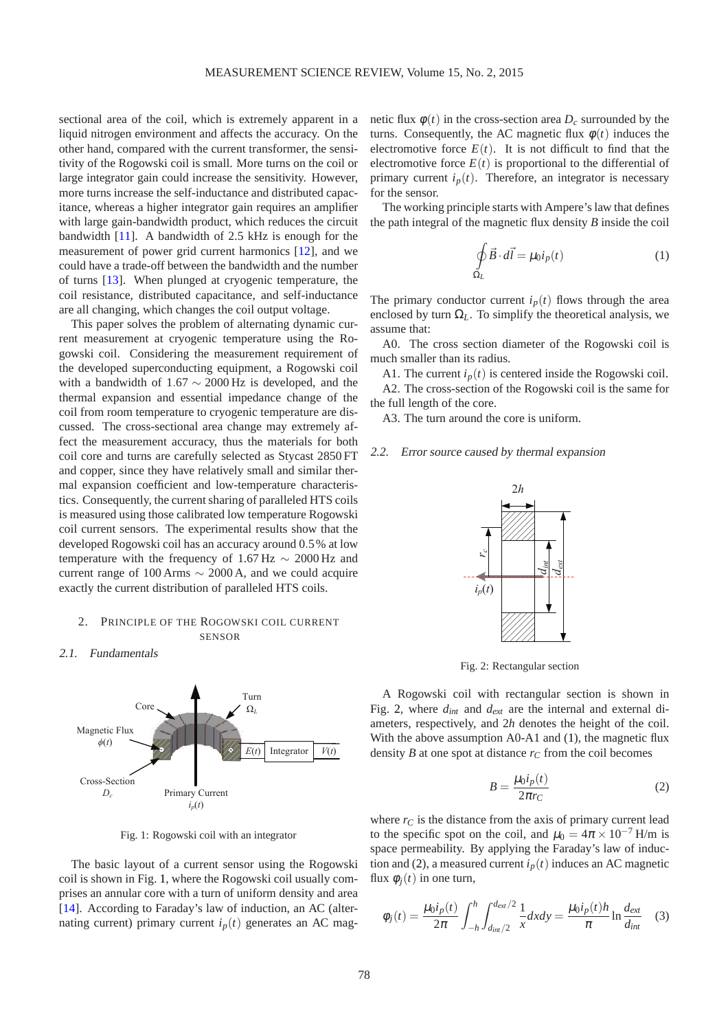sectional area of the coil, which is extremely apparent in a liquid nitrogen environment and affects the accuracy. On the other hand, compared with the current transformer, the sensitivity of the Rogowski coil is small. More turns on the coil or large integrator gain could increase the sensitivity. However, more turns increase the self-inductance and distributed capacitance, whereas a higher integrator gain requires an amplifier with large gain-bandwidth product, which reduces the circuit bandwidth [11]. A bandwidth of 2.5 kHz is enough for the measurement of power grid current harmonics [12], and we could have a trade-off between the bandwidth and the number of turns [13]. When plunged at cryogenic temperature, the coil resistance, distributed capacitance, and self-inductance are all changing, which changes the coil output voltage.

This paper solves the problem of alternating dynamic current measurement at cryogenic temperature using the Rogowski coil. Considering the measurement requirement of the developed superconducting equipment, a Rogowski coil with a bandwidth of  $1.67 \sim 2000 \text{ Hz}$  is developed, and the thermal expansion and essential impedance change of the coil from room temperature to cryogenic temperature are discussed. The cross-sectional area change may extremely affect the measurement accuracy, thus the materials for both coil core and turns are carefully selected as Stycast 2850 FT and copper, since they have relatively small and similar thermal expansion coefficient and low-temperature characteristics. Consequently, the current sharing of paralleled HTS coils is measured using those calibrated low temperature Rogowski coil current sensors. The experimental results show that the developed Rogowski coil has an accuracy around 0.5% at low temperature with the frequency of 1.67 Hz  $\sim 2000$  Hz and current range of 100 Arms  $\sim$  2000 A, and we could acquire exactly the current distribution of paralleled HTS coils.

# 2. PRINCIPLE OF THE ROGOWSKI COIL CURRENT SENSOR

2.1. Fundamentals



Fig. 1: Rogowski coil with an integrator

The basic layout of a current sensor using the Rogowski coil is shown in Fig. 1, where the Rogowski coil usually comprises an annular core with a turn of uniform density and area [14]. According to Faraday's law of induction, an AC (alternating current) primary current  $i_p(t)$  generates an AC mag-

netic flux  $\phi(t)$  in the cross-section area  $D_c$  surrounded by the turns. Consequently, the AC magnetic flux  $\phi(t)$  induces the electromotive force  $E(t)$ . It is not difficult to find that the electromotive force  $E(t)$  is proportional to the differential of primary current  $i_p(t)$ . Therefore, an integrator is necessary for the sensor.

The working principle starts with Ampere's law that defines the path integral of the magnetic flux density *B* inside the coil

$$
\oint_{\Omega_L} \vec{B} \cdot d\vec{l} = \mu_0 i_p(t) \tag{1}
$$

The primary conductor current  $i_p(t)$  flows through the area enclosed by turn  $\Omega_L$ . To simplify the theoretical analysis, we assume that:

A0. The cross section diameter of the Rogowski coil is much smaller than its radius.

A1. The current  $i_p(t)$  is centered inside the Rogowski coil. A2. The cross-section of the Rogowski coil is the same for the full length of the core.

A3. The turn around the core is uniform.

#### 2.2. Error source caused by thermal expansion



Fig. 2: Rectangular section

A Rogowski coil with rectangular section is shown in Fig. 2, where *dint* and *dext* are the internal and external diameters, respectively, and 2*h* denotes the height of the coil. With the above assumption A0-A1 and (1), the magnetic flux density *B* at one spot at distance  $r_C$  from the coil becomes

$$
B = \frac{\mu_0 i_p(t)}{2\pi r_C} \tag{2}
$$

where  $r_C$  is the distance from the axis of primary current lead to the specific spot on the coil, and  $\mu_0 = 4\pi \times 10^{-7}$  H/m is space permeability. By applying the Faraday's law of induction and (2), a measured current  $i_p(t)$  induces an AC magnetic flux  $\phi_i(t)$  in one turn,

$$
\phi_j(t) = \frac{\mu_0 i_p(t)}{2\pi} \int_{-h}^{h} \int_{d_{int}/2}^{d_{ext}/2} \frac{1}{x} dx dy = \frac{\mu_0 i_p(t) h}{\pi} \ln \frac{d_{ext}}{d_{int}} \quad (3)
$$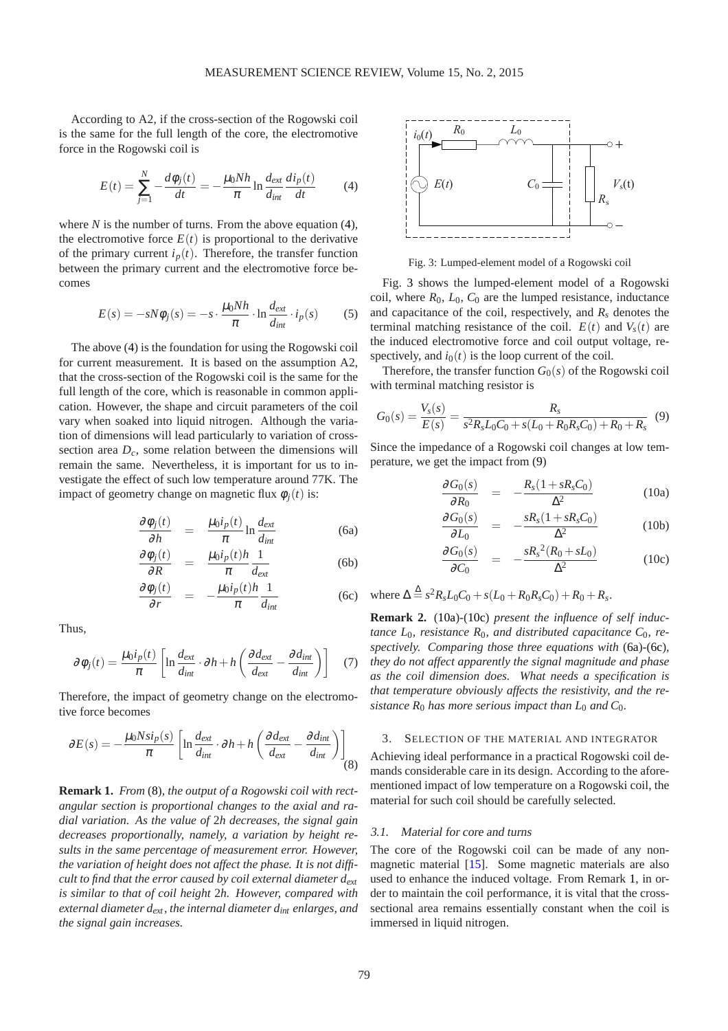According to A2, if the cross-section of the Rogowski coil is the same for the full length of the core, the electromotive force in the Rogowski coil is

$$
E(t) = \sum_{j=1}^{N} -\frac{d\phi_j(t)}{dt} = -\frac{\mu_0 N h}{\pi} \ln \frac{d_{ext}}{d_{int}} \frac{di_p(t)}{dt}
$$
 (4)

where  $N$  is the number of turns. From the above equation  $(4)$ , the electromotive force  $E(t)$  is proportional to the derivative of the primary current  $i_p(t)$ . Therefore, the transfer function between the primary current and the electromotive force becomes

$$
E(s) = -sN\phi_j(s) = -s \cdot \frac{\mu_0 N h}{\pi} \cdot \ln \frac{d_{ext}}{d_{int}} \cdot i_p(s) \tag{5}
$$

The above (4) is the foundation for using the Rogowski coil for current measurement. It is based on the assumption A2, that the cross-section of the Rogowski coil is the same for the full length of the core, which is reasonable in common application. However, the shape and circuit parameters of the coil vary when soaked into liquid nitrogen. Although the variation of dimensions will lead particularly to variation of crosssection area *Dc*, some relation between the dimensions will remain the same. Nevertheless, it is important for us to investigate the effect of such low temperature around 77K. The impact of geometry change on magnetic flux  $\phi_i(t)$  is:

$$
\frac{\partial \phi_j(t)}{\partial h} = \frac{\mu_0 i_p(t)}{\pi} \ln \frac{d_{ext}}{d_{int}}
$$
(6a)

$$
\frac{\partial \phi_j(t)}{\partial R} = \frac{\mu_0 i_p(t) h}{\pi} \frac{1}{d_{ext}} \tag{6b}
$$

$$
\frac{\partial \phi_j(t)}{\partial r} = -\frac{\mu_0 i_p(t) h}{\pi} \frac{1}{d_{int}} \tag{6c}
$$

Thus,

$$
\partial \phi_j(t) = \frac{\mu_0 i_p(t)}{\pi} \left[ \ln \frac{d_{ext}}{d_{int}} \cdot \partial h + h \left( \frac{\partial d_{ext}}{d_{ext}} - \frac{\partial d_{int}}{d_{int}} \right) \right] \tag{7}
$$

Therefore, the impact of geometry change on the electromotive force becomes

$$
\partial E(s) = -\frac{\mu_0 N s i_p(s)}{\pi} \left[ \ln \frac{d_{ext}}{d_{int}} \cdot \partial h + h \left( \frac{\partial d_{ext}}{d_{ext}} - \frac{\partial d_{int}}{d_{int}} \right) \right] \tag{8}
$$

**Remark 1.** *From* (8)*, the output of a Rogowski coil with rectangular section is proportional changes to the axial and radial variation. As the value of* 2*h decreases, the signal gain decreases proportionally, namely, a variation by height results in the same percentage of measurement error. However, the variation of height does not affect the phase. It is not difficult to find that the error caused by coil external diameter dext is similar to that of coil height* 2*h. However, compared with external diameter dext, the internal diameter dint enlarges, and the signal gain increases.*



Fig. 3: Lumped-element model of a Rogowski coil

Fig. 3 shows the lumped-element model of a Rogowski coil, where  $R_0$ ,  $L_0$ ,  $C_0$  are the lumped resistance, inductance and capacitance of the coil, respectively, and *R<sup>s</sup>* denotes the terminal matching resistance of the coil.  $E(t)$  and  $V_s(t)$  are the induced electromotive force and coil output voltage, respectively, and  $i_0(t)$  is the loop current of the coil.

Therefore, the transfer function  $G_0(s)$  of the Rogowski coil with terminal matching resistor is

$$
G_0(s) = \frac{V_s(s)}{E(s)} = \frac{R_s}{s^2 R_s L_0 C_0 + s(L_0 + R_0 R_s C_0) + R_0 + R_s}
$$
(9)

Since the impedance of a Rogowski coil changes at low temperature, we get the impact from (9)

$$
\frac{\partial G_0(s)}{\partial R_0} = -\frac{R_s(1+sR_sC_0)}{\Delta^2} \tag{10a}
$$

$$
\frac{\partial G_0(s)}{\partial L_0} = -\frac{sR_s(1+sR_sC_0)}{\Delta^2} \tag{10b}
$$

$$
\frac{\partial G_0(s)}{\partial C_0} = -\frac{sR_s^2(R_0 + sL_0)}{\Delta^2} \tag{10c}
$$

 $\Delta \stackrel{\Delta}{=} s^2 R_s L_0 C_0 + s(L_0 + R_0 R_s C_0) + R_0 + R_s.$ 

**Remark 2.** (10a)-(10c) *present the influence of self inductance L*0*, resistance R*0*, and distributed capacitance C*0*, respectively. Comparing those three equations with* (6a)-(6c)*, they do not affect apparently the signal magnitude and phase as the coil dimension does. What needs a specification is that temperature obviously affects the resistivity, and the resistance*  $R_0$  *has more serious impact than*  $L_0$  *and*  $C_0$ *.* 

## 3. SELECTION OF THE MATERIAL AND INTEGRATOR

Achieving ideal performance in a practical Rogowski coil demands considerable care in its design. According to the aforementioned impact of low temperature on a Rogowski coil, the material for such coil should be carefully selected.

## 3.1. Material for core and turns

The core of the Rogowski coil can be made of any nonmagnetic material [15]. Some magnetic materials are also used to enhance the induced voltage. From Remark 1, in order to maintain the coil performance, it is vital that the crosssectional area remains essentially constant when the coil is immersed in liquid nitrogen.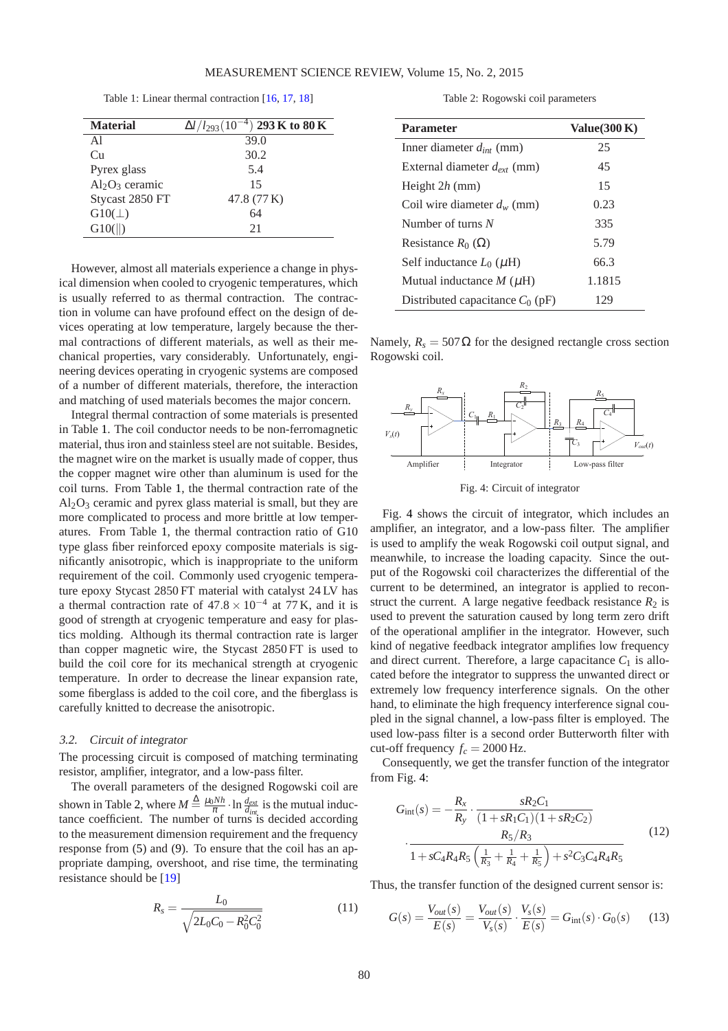Table 1: Linear thermal contraction [16, 17, 18]

| <b>Material</b>   | $\Delta l / l_{293} (10^{-4})$ 293 K to 80 K |
|-------------------|----------------------------------------------|
| A1                | 39.0                                         |
| Cu                | 30.2                                         |
| Pyrex glass       | 5.4                                          |
| $Al_2O_3$ ceramic | 15                                           |
| Stycast 2850 FT   | 47.8 (77 K)                                  |
| $G10(\perp)$      | 64                                           |
| G10(  )           | 21                                           |

However, almost all materials experience a change in physical dimension when cooled to cryogenic temperatures, which is usually referred to as thermal contraction. The contraction in volume can have profound effect on the design of devices operating at low temperature, largely because the thermal contractions of different materials, as well as their mechanical properties, vary considerably. Unfortunately, engineering devices operating in cryogenic systems are composed of a number of different materials, therefore, the interaction and matching of used materials becomes the major concern.

Integral thermal contraction of some materials is presented in Table 1. The coil conductor needs to be non-ferromagnetic material, thus iron and stainless steel are not suitable. Besides, the magnet wire on the market is usually made of copper, thus the copper magnet wire other than aluminum is used for the coil turns. From Table 1, the thermal contraction rate of the  $Al_2O_3$  ceramic and pyrex glass material is small, but they are more complicated to process and more brittle at low temperatures. From Table 1, the thermal contraction ratio of G10 type glass fiber reinforced epoxy composite materials is significantly anisotropic, which is inappropriate to the uniform requirement of the coil. Commonly used cryogenic temperature epoxy Stycast 2850 FT material with catalyst 24 LV has a thermal contraction rate of  $47.8 \times 10^{-4}$  at 77 K, and it is good of strength at cryogenic temperature and easy for plastics molding. Although its thermal contraction rate is larger than copper magnetic wire, the Stycast 2850 FT is used to build the coil core for its mechanical strength at cryogenic temperature. In order to decrease the linear expansion rate, some fiberglass is added to the coil core, and the fiberglass is carefully knitted to decrease the anisotropic.

## 3.2. Circuit of integrator

The processing circuit is composed of matching terminating resistor, amplifier, integrator, and a low-pass filter.

The overall parameters of the designed Rogowski coil are shown in Table 2, where  $M \triangleq \frac{\mu_0 N h}{\pi} \cdot \ln \frac{d_{ext}}{d_{int}}$  is the mutual inductance coefficient. The number of turns is decided according to the measurement dimension requirement and the frequency response from (5) and (9). To ensure that the coil has an appropriate damping, overshoot, and rise time, the terminating resistance should be [19]

$$
R_s = \frac{L_0}{\sqrt{2L_0C_0 - R_0^2 C_0^2}}
$$
(11)

Table 2: Rogowski coil parameters

| <b>Parameter</b>                   | Value $(300 K)$ |
|------------------------------------|-----------------|
| Inner diameter $d_{int}$ (mm)      | 25              |
| External diameter $d_{ext}$ (mm)   | 45              |
| Height $2h$ (mm)                   | 15              |
| Coil wire diameter $d_w$ (mm)      | 0.23            |
| Number of turns $N$                | 335             |
| Resistance $R_0(\Omega)$           | 5.79            |
| Self inductance $L_0$ ( $\mu$ H)   | 66.3            |
| Mutual inductance $M(\mu H)$       | 1.1815          |
| Distributed capacitance $C_0$ (pF) | 129             |

Namely,  $R_s = 507 \Omega$  for the designed rectangle cross section Rogowski coil.



Fig. 4: Circuit of integrator

Fig. 4 shows the circuit of integrator, which includes an amplifier, an integrator, and a low-pass filter. The amplifier is used to amplify the weak Rogowski coil output signal, and meanwhile, to increase the loading capacity. Since the output of the Rogowski coil characterizes the differential of the current to be determined, an integrator is applied to reconstruct the current. A large negative feedback resistance  $R_2$  is used to prevent the saturation caused by long term zero drift of the operational amplifier in the integrator. However, such kind of negative feedback integrator amplifies low frequency and direct current. Therefore, a large capacitance  $C_1$  is allocated before the integrator to suppress the unwanted direct or extremely low frequency interference signals. On the other hand, to eliminate the high frequency interference signal coupled in the signal channel, a low-pass filter is employed. The used low-pass filter is a second order Butterworth filter with cut-off frequency  $f_c = 2000$  Hz.

Consequently, we get the transfer function of the integrator from Fig. 4:

$$
G_{\rm int}(s) = -\frac{R_x}{R_y} \cdot \frac{sR_2C_1}{(1 + sR_1C_1)(1 + sR_2C_2)}
$$

$$
\cdot \frac{R_5/R_3}{1 + sC_4R_4R_5\left(\frac{1}{R_3} + \frac{1}{R_4} + \frac{1}{R_5}\right) + s^2C_3C_4R_4R_5}
$$
(12)

Thus, the transfer function of the designed current sensor is:

$$
G(s) = \frac{V_{out}(s)}{E(s)} = \frac{V_{out}(s)}{V_s(s)} \cdot \frac{V_s(s)}{E(s)} = G_{int}(s) \cdot G_0(s) \tag{13}
$$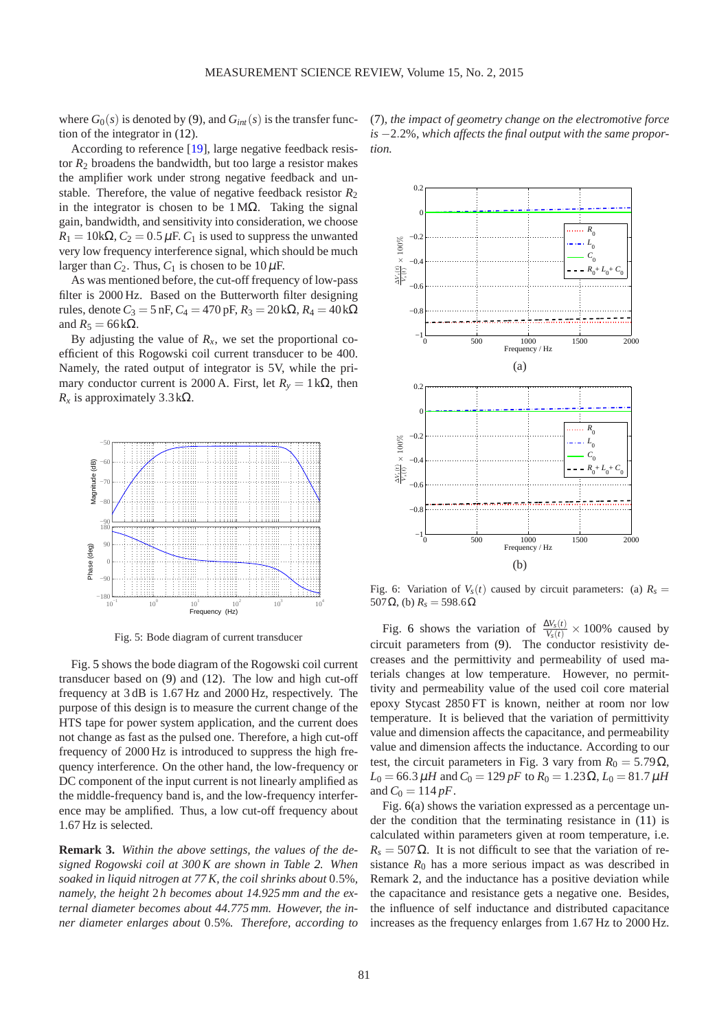where  $G_0(s)$  is denoted by (9), and  $G_{int}(s)$  is the transfer function of the integrator in (12).

According to reference [19], large negative feedback resistor  $R_2$  broadens the bandwidth, but too large a resistor makes the amplifier work under strong negative feedback and unstable. Therefore, the value of negative feedback resistor  $R_2$ in the integrator is chosen to be  $1 M\Omega$ . Taking the signal gain, bandwidth, and sensitivity into consideration, we choose  $R_1 = 10k\Omega$ ,  $C_2 = 0.5 \mu F$ . *C*<sub>1</sub> is used to suppress the unwanted very low frequency interference signal, which should be much larger than  $C_2$ . Thus,  $C_1$  is chosen to be  $10 \mu$ F.

As was mentioned before, the cut-off frequency of low-pass filter is 2000 Hz. Based on the Butterworth filter designing rules, denote  $C_3 = 5$  nF,  $C_4 = 470$  pF,  $R_3 = 20$  kΩ,  $R_4 = 40$  kΩ and  $R_5 = 66$  kΩ.

By adjusting the value of  $R<sub>x</sub>$ , we set the proportional coefficient of this Rogowski coil current transducer to be 400. Namely, the rated output of integrator is 5V, while the primary conductor current is 2000 A. First, let  $R<sub>v</sub> = 1$  k $\Omega$ , then  $R<sub>x</sub>$  is approximately 3.3 kΩ.



Fig. 5: Bode diagram of current transducer

Fig. 5 shows the bode diagram of the Rogowski coil current transducer based on (9) and (12). The low and high cut-off frequency at 3 dB is 1.67 Hz and 2000 Hz, respectively. The purpose of this design is to measure the current change of the HTS tape for power system application, and the current does not change as fast as the pulsed one. Therefore, a high cut-off frequency of 2000 Hz is introduced to suppress the high frequency interference. On the other hand, the low-frequency or DC component of the input current is not linearly amplified as the middle-frequency band is, and the low-frequency interference may be amplified. Thus, a low cut-off frequency about 1.67 Hz is selected.

**Remark 3.** *Within the above settings, the values of the designed Rogowski coil at 300 K are shown in Table 2. When soaked in liquid nitrogen at 77 K, the coil shrinks about* 0.5%*, namely, the height* 2*h becomes about 14.925 mm and the external diameter becomes about 44.775 mm. However, the inner diameter enlarges about* 0.5%*. Therefore, according to*



(7)*, the impact of geometry change on the electromotive force is* −2.2%*, which affects the final output with the same proportion.*

Fig. 6: Variation of  $V_s(t)$  caused by circuit parameters: (a)  $R_s =$ 507 Ω, (b)  $R_s = 598.6$  Ω

Fig. 6 shows the variation of  $\frac{\Delta V_s(t)}{V_s(t)} \times 100\%$  caused by circuit parameters from (9). The conductor resistivity decreases and the permittivity and permeability of used materials changes at low temperature. However, no permittivity and permeability value of the used coil core material epoxy Stycast 2850 FT is known, neither at room nor low temperature. It is believed that the variation of permittivity value and dimension affects the capacitance, and permeability value and dimension affects the inductance. According to our test, the circuit parameters in Fig. 3 vary from  $R_0 = 5.79 \Omega$ ,  $L_0 = 66.3 \,\mu H$  and  $C_0 = 129 \,\text{pF}$  to  $R_0 = 1.23 \,\Omega$ ,  $L_0 = 81.7 \,\mu H$ and  $C_0 = 114 pF$ .

Fig. 6(a) shows the variation expressed as a percentage under the condition that the terminating resistance in (11) is calculated within parameters given at room temperature, i.e.  $R_s = 507 \Omega$ . It is not difficult to see that the variation of resistance  $R_0$  has a more serious impact as was described in Remark 2, and the inductance has a positive deviation while the capacitance and resistance gets a negative one. Besides, the influence of self inductance and distributed capacitance increases as the frequency enlarges from 1.67 Hz to 2000 Hz.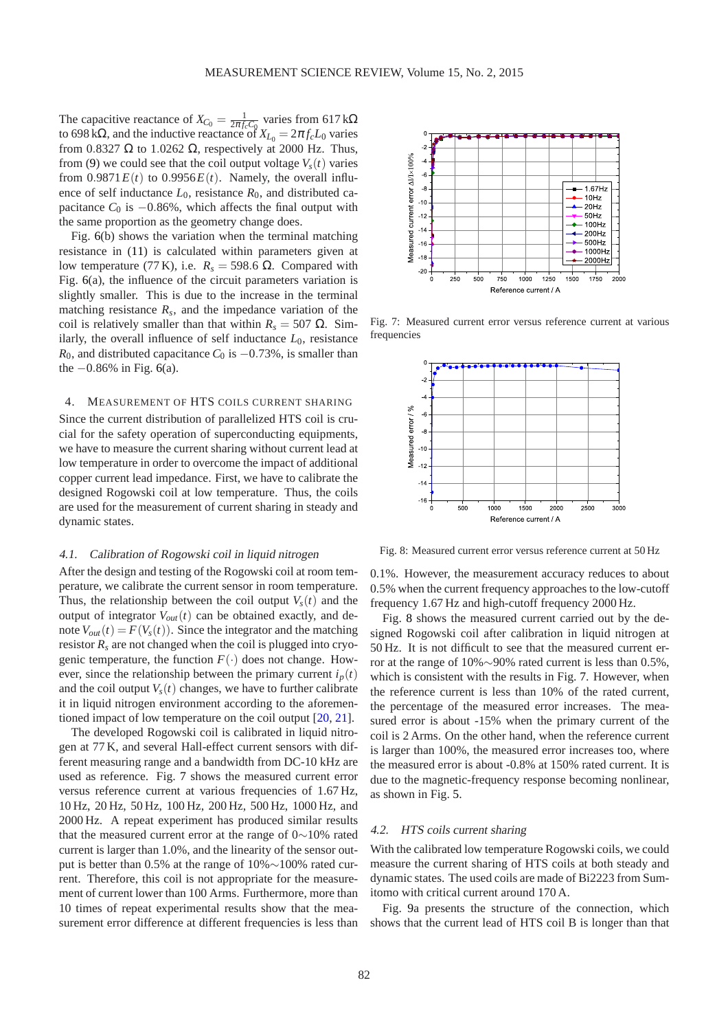The capacitive reactance of  $X_{C_0} = \frac{1}{2\pi f_c C_0}$  varies from 617 kΩ to 698 k $\Omega$ , and the inductive reactance of  $X_{L_0} = 2\pi f_c L_0$  varies from 0.8327  $\Omega$  to 1.0262  $\Omega$ , respectively at 2000 Hz. Thus, from (9) we could see that the coil output voltage  $V_s(t)$  varies from  $0.9871E(t)$  to  $0.9956E(t)$ . Namely, the overall influence of self inductance  $L_0$ , resistance  $R_0$ , and distributed capacitance  $C_0$  is  $-0.86\%$ , which affects the final output with the same proportion as the geometry change does.

Fig. 6(b) shows the variation when the terminal matching resistance in (11) is calculated within parameters given at low temperature (77 K), i.e.  $R_s = 598.6$  Ω. Compared with Fig. 6(a), the influence of the circuit parameters variation is slightly smaller. This is due to the increase in the terminal matching resistance  $R_s$ , and the impedance variation of the coil is relatively smaller than that within  $R_s = 507 \Omega$ . Similarly, the overall influence of self inductance  $L_0$ , resistance *R*<sub>0</sub>, and distributed capacitance  $C_0$  is  $-0.73\%$ , is smaller than the  $-0.86\%$  in Fig. 6(a).

# 4. MEASUREMENT OF HTS COILS CURRENT SHARING

Since the current distribution of parallelized HTS coil is crucial for the safety operation of superconducting equipments, we have to measure the current sharing without current lead at low temperature in order to overcome the impact of additional copper current lead impedance. First, we have to calibrate the designed Rogowski coil at low temperature. Thus, the coils are used for the measurement of current sharing in steady and dynamic states.

# 4.1. Calibration of Rogowski coil in liquid nitrogen

After the design and testing of the Rogowski coil at room temperature, we calibrate the current sensor in room temperature. Thus, the relationship between the coil output  $V_s(t)$  and the output of integrator  $V_{out}(t)$  can be obtained exactly, and denote  $V_{out}(t) = F(V_s(t))$ . Since the integrator and the matching resistor  $R_s$  are not changed when the coil is plugged into cryogenic temperature, the function  $F(\cdot)$  does not change. However, since the relationship between the primary current  $i_p(t)$ and the coil output  $V_s(t)$  changes, we have to further calibrate it in liquid nitrogen environment according to the aforementioned impact of low temperature on the coil output [20, 21].

The developed Rogowski coil is calibrated in liquid nitrogen at 77 K, and several Hall-effect current sensors with different measuring range and a bandwidth from DC-10 kHz are used as reference. Fig. 7 shows the measured current error versus reference current at various frequencies of 1.67 Hz, 10 Hz, 20 Hz, 50 Hz, 100 Hz, 200 Hz, 500 Hz, 1000 Hz, and 2000 Hz. A repeat experiment has produced similar results that the measured current error at the range of 0∼10% rated current is larger than 1.0%, and the linearity of the sensor output is better than 0.5% at the range of 10%∼100% rated current. Therefore, this coil is not appropriate for the measurement of current lower than 100 Arms. Furthermore, more than 10 times of repeat experimental results show that the measurement error difference at different frequencies is less than



Fig. 7: Measured current error versus reference current at various frequencies



Fig. 8: Measured current error versus reference current at 50 Hz

0.1%. However, the measurement accuracy reduces to about 0.5% when the current frequency approaches to the low-cutoff frequency 1.67 Hz and high-cutoff frequency 2000 Hz.

Fig. 8 shows the measured current carried out by the designed Rogowski coil after calibration in liquid nitrogen at 50 Hz. It is not difficult to see that the measured current error at the range of 10%∼90% rated current is less than 0.5%, which is consistent with the results in Fig. 7. However, when the reference current is less than 10% of the rated current, the percentage of the measured error increases. The measured error is about -15% when the primary current of the coil is 2 Arms. On the other hand, when the reference current is larger than 100%, the measured error increases too, where the measured error is about -0.8% at 150% rated current. It is due to the magnetic-frequency response becoming nonlinear, as shown in Fig. 5.

## 4.2. HTS coils current sharing

With the calibrated low temperature Rogowski coils, we could measure the current sharing of HTS coils at both steady and dynamic states. The used coils are made of Bi2223 from Sumitomo with critical current around 170 A.

Fig. 9a presents the structure of the connection, which shows that the current lead of HTS coil B is longer than that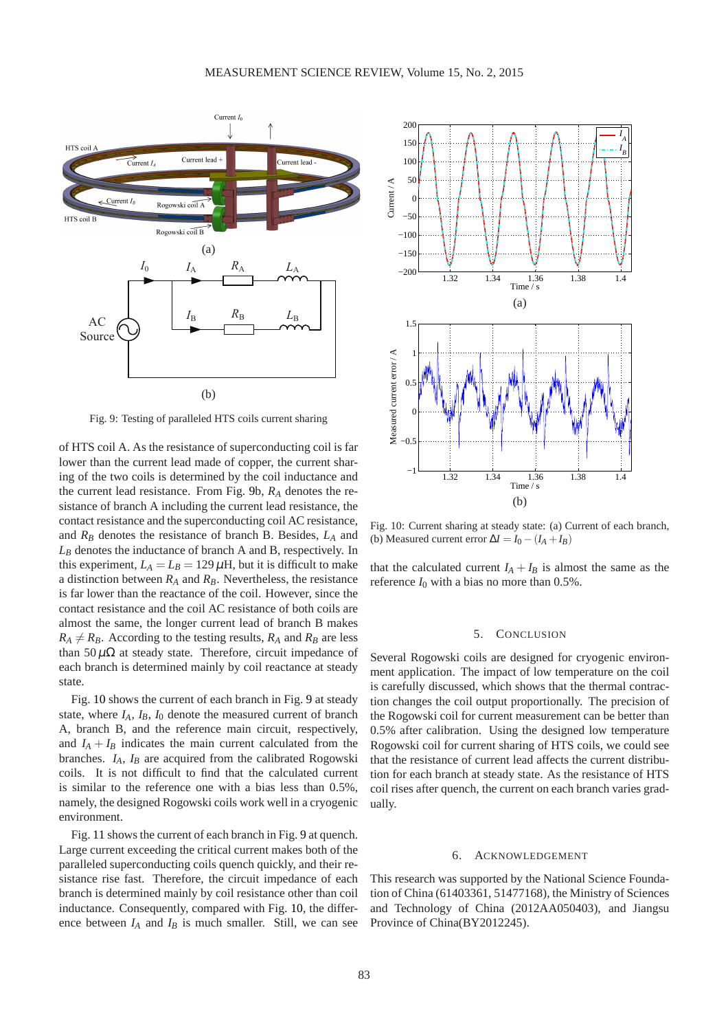

Fig. 9: Testing of paralleled HTS coils current sharing

of HTS coil A. As the resistance of superconducting coil is far lower than the current lead made of copper, the current sharing of the two coils is determined by the coil inductance and the current lead resistance. From Fig. 9b, *R<sup>A</sup>* denotes the resistance of branch A including the current lead resistance, the contact resistance and the superconducting coil AC resistance, and *R<sup>B</sup>* denotes the resistance of branch B. Besides, *L<sup>A</sup>* and *L<sup>B</sup>* denotes the inductance of branch A and B, respectively. In this experiment,  $L_A = L_B = 129 \,\mu$ H, but it is difficult to make a distinction between *R<sup>A</sup>* and *RB*. Nevertheless, the resistance is far lower than the reactance of the coil. However, since the contact resistance and the coil AC resistance of both coils are almost the same, the longer current lead of branch B makes  $R_A \neq R_B$ . According to the testing results,  $R_A$  and  $R_B$  are less than  $50 \mu \Omega$  at steady state. Therefore, circuit impedance of each branch is determined mainly by coil reactance at steady state.

Fig. 10 shows the current of each branch in Fig. 9 at steady state, where  $I_A$ ,  $I_B$ ,  $I_0$  denote the measured current of branch A, branch B, and the reference main circuit, respectively, and  $I_A + I_B$  indicates the main current calculated from the branches.  $I_A$ ,  $I_B$  are acquired from the calibrated Rogowski coils. It is not difficult to find that the calculated current is similar to the reference one with a bias less than 0.5%, namely, the designed Rogowski coils work well in a cryogenic environment.

Fig. 11 shows the current of each branch in Fig. 9 at quench. Large current exceeding the critical current makes both of the paralleled superconducting coils quench quickly, and their resistance rise fast. Therefore, the circuit impedance of each branch is determined mainly by coil resistance other than coil inductance. Consequently, compared with Fig. 10, the difference between  $I_A$  and  $I_B$  is much smaller. Still, we can see



Fig. 10: Current sharing at steady state: (a) Current of each branch, (b) Measured current error  $\Delta I = I_0 - (I_A + I_B)$ 

that the calculated current  $I_A + I_B$  is almost the same as the reference  $I_0$  with a bias no more than  $0.5\%$ .

## 5. CONCLUSION

Several Rogowski coils are designed for cryogenic environment application. The impact of low temperature on the coil is carefully discussed, which shows that the thermal contraction changes the coil output proportionally. The precision of the Rogowski coil for current measurement can be better than 0.5% after calibration. Using the designed low temperature Rogowski coil for current sharing of HTS coils, we could see that the resistance of current lead affects the current distribution for each branch at steady state. As the resistance of HTS coil rises after quench, the current on each branch varies gradually.

#### 6. ACKNOWLEDGEMENT

This research was supported by the National Science Foundation of China (61403361, 51477168), the Ministry of Sciences and Technology of China (2012AA050403), and Jiangsu Province of China(BY2012245).